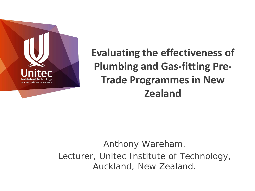

# **Evaluating the effectiveness of Plumbing and Gas-fitting Pre-Trade Programmes in New Zealand**

## *Anthony Wareham. Lecturer, Unitec Institute of Technology, Auckland, New Zealand.*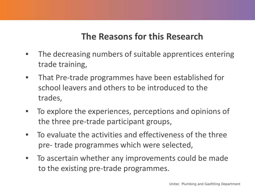## **The Reasons for this Research**

- The decreasing numbers of suitable apprentices entering trade training,
- That Pre-trade programmes have been established for school leavers and others to be introduced to the trades,
- To explore the experiences, perceptions and opinions of the three pre-trade participant groups,
- To evaluate the activities and effectiveness of the three pre- trade programmes which were selected,
- To ascertain whether any improvements could be made to the existing pre-trade programmes.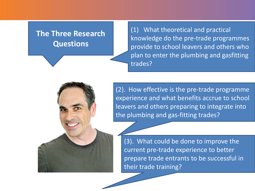#### **The Three Research Questions**

(1) What theoretical and practical knowledge do the pre-trade programmes provide to school leavers and others who plan to enter the plumbing and gasfitting trades?

(2). How effective is the pre-trade programme experience and what benefits accrue to school leavers and others preparing to integrate into the plumbing and gas-fitting trades?

(3). What could be done to improve the current pre-trade experience to better prepare trade entrants to be successful in their trade training?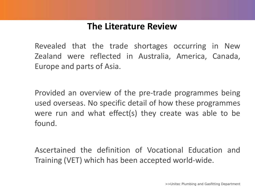## **The Literature Review**

Revealed that the trade shortages occurring in New Zealand were reflected in Australia, America, Canada, Europe and parts of Asia.

Provided an overview of the pre-trade programmes being used overseas. No specific detail of how these programmes were run and what effect(s) they create was able to be found.

Ascertained the definition of Vocational Education and Training (VET) which has been accepted world-wide.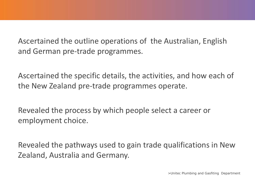Ascertained the outline operations of the Australian, English and German pre-trade programmes.

Ascertained the specific details, the activities, and how each of the New Zealand pre-trade programmes operate.

Revealed the process by which people select a career or employment choice.

Revealed the pathways used to gain trade qualifications in New Zealand, Australia and Germany.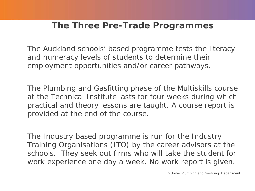#### **The Three Pre-Trade Programmes**

The Auckland schools' based programme tests the literacy and numeracy levels of students to determine their employment opportunities and/or career pathways.

The Plumbing and Gasfitting phase of the Multiskills course at the Technical Institute lasts for four weeks during which practical and theory lessons are taught. A course report is provided at the end of the course.

The Industry based programme is run for the Industry Training Organisations (ITO) by the career advisors at the schools. They seek out firms who will take the student for work experience one day a week. No work report is given.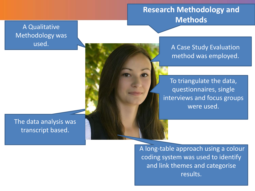#### **Research Methodology and Methods**

A Qualitative Methodology was used.

A Case Study Evaluation method was employed.

To triangulate the data, questionnaires, single interviews and focus groups were used.

The data analysis was transcript based.

> A long-table approach using a colour coding system was used to identify and link themes and categorise results.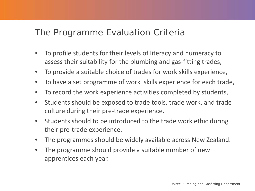#### The Programme Evaluation Criteria

- To profile students for their levels of literacy and numeracy to assess their suitability for the plumbing and gas-fitting trades,
- To provide a suitable choice of trades for work skills experience,
- To have a set programme of work skills experience for each trade,
- To record the work experience activities completed by students,
- Students should be exposed to trade tools, trade work, and trade culture during their pre-trade experience.
- Students should to be introduced to the trade work ethic during their pre-trade experience.
- The programmes should be widely available across New Zealand.
- The programme should provide a suitable number of new apprentices each year.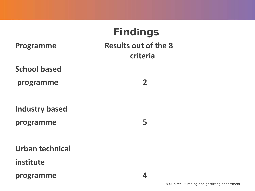| <b>Programme</b>       | <b>Findings</b><br><b>Results out of the 8</b><br>criteria |  |
|------------------------|------------------------------------------------------------|--|
| <b>School based</b>    |                                                            |  |
| programme              | $\overline{2}$                                             |  |
|                        |                                                            |  |
| <b>Industry based</b>  |                                                            |  |
| programme              | 5                                                          |  |
|                        |                                                            |  |
| <b>Urban technical</b> |                                                            |  |
| institute              |                                                            |  |
| programme              | 4                                                          |  |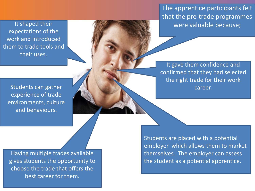The apprentice participants felt that the pre-trade programmes were valuable because;

It shaped their expectations of the work and introduced them to trade tools and their uses.

Students can gather experience of trade environments, culture and behaviours.

Having multiple trades available gives students the opportunity to choose the trade that offers the best career for them.

It gave them confidence and confirmed that they had selected the right trade for their work career.

Students are placed with a potential employer which allows them to market themselves. The employer can assess the student as a potential apprentice.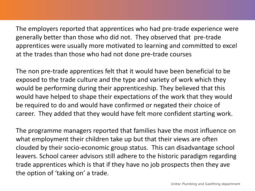The employers reported that apprentices who had pre-trade experience were generally better than those who did not. They observed that pre-trade apprentices were usually more motivated to learning and committed to excel at the trades than those who had not done pre-trade courses

The non pre-trade apprentices felt that it would have been beneficial to be exposed to the trade culture and the type and variety of work which they would be performing during their apprenticeship. They believed that this would have helped to shape their expectations of the work that they would be required to do and would have confirmed or negated their choice of career. They added that they would have felt more confident starting work.

The programme managers reported that families have the most influence on what employment their children take up but that their views are often clouded by their socio-economic group status. This can disadvantage school leavers. School career advisors still adhere to the historic paradigm regarding trade apprentices which is that if they have no job prospects then they ave the option of 'taking on' a trade.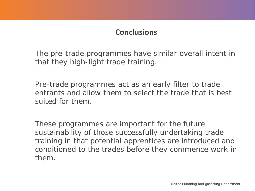#### **Conclusions**

The pre-trade programmes have similar overall intent in that they high-light trade training.

Pre-trade programmes act as an early filter to trade entrants and allow them to select the trade that is best suited for them.

These programmes are important for the future sustainability of those successfully undertaking trade training in that potential apprentices are introduced and conditioned to the trades before they commence work in them.